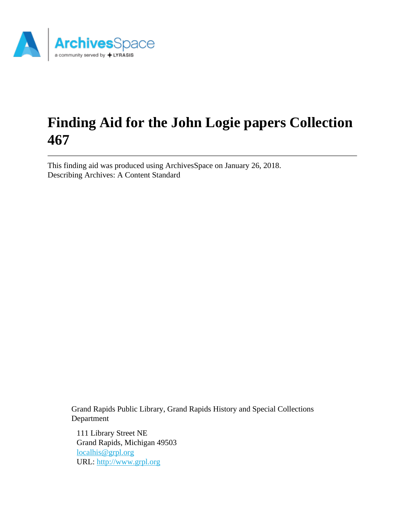

# **Finding Aid for the John Logie papers Collection 467**

This finding aid was produced using ArchivesSpace on January 26, 2018. Describing Archives: A Content Standard

> Grand Rapids Public Library, Grand Rapids History and Special Collections Department

111 Library Street NE Grand Rapids, Michigan 49503 [localhis@grpl.org](mailto:localhis@grpl.org) URL:<http://www.grpl.org>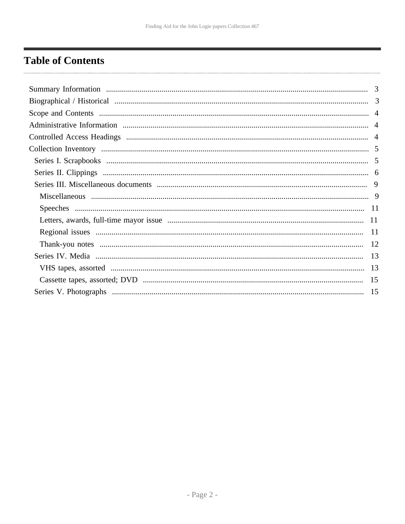# <span id="page-1-0"></span>**Table of Contents**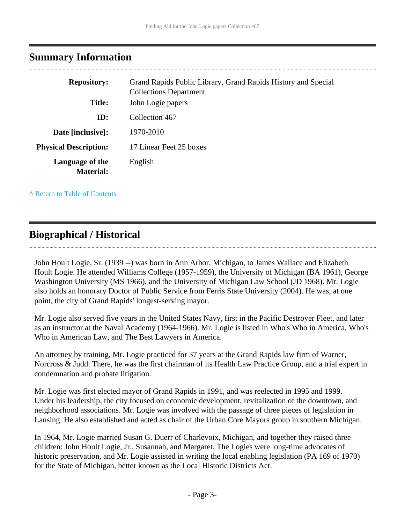### <span id="page-2-0"></span>**Summary Information**

| <b>Repository:</b>                  | Grand Rapids Public Library, Grand Rapids History and Special<br><b>Collections Department</b> |
|-------------------------------------|------------------------------------------------------------------------------------------------|
| <b>Title:</b>                       | John Logie papers                                                                              |
| ID:                                 | Collection 467                                                                                 |
| Date [inclusive]:                   | 1970-2010                                                                                      |
| <b>Physical Description:</b>        | 17 Linear Feet 25 boxes                                                                        |
| Language of the<br><b>Material:</b> | English                                                                                        |

**^** [Return to Table of Contents](#page-1-0)

# <span id="page-2-1"></span>**Biographical / Historical**

John Hoult Logie, Sr. (1939 --) was born in Ann Arbor, Michigan, to James Wallace and Elizabeth Hoult Logie. He attended Williams College (1957-1959), the University of Michigan (BA 1961), George Washington University (MS 1966), and the University of Michigan Law School (JD 1968). Mr. Logie also holds an honorary Doctor of Public Service from Ferris State University (2004). He was, at one point, the city of Grand Rapids' longest-serving mayor.

Mr. Logie also served five years in the United States Navy, first in the Pacific Destroyer Fleet, and later as an instructor at the Naval Academy (1964-1966). Mr. Logie is listed in Who's Who in America, Who's Who in American Law, and The Best Lawyers in America.

An attorney by training, Mr. Logie practiced for 37 years at the Grand Rapids law firm of Warner, Norcross & Judd. There, he was the first chairman of its Health Law Practice Group, and a trial expert in condemnation and probate litigation.

Mr. Logie was first elected mayor of Grand Rapids in 1991, and was reelected in 1995 and 1999. Under his leadership, the city focused on economic development, revitalization of the downtown, and neighborhood associations. Mr. Logie was involved with the passage of three pieces of legislation in Lansing. He also established and acted as chair of the Urban Core Mayors group in southern Michigan.

In 1964, Mr. Logie married Susan G. Duerr of Charlevoix, Michigan, and together they raised three children: John Hoult Logie, Jr., Susannah, and Margaret. The Logies were long-time advocates of historic preservation, and Mr. Logie assisted in writing the local enabling legislation (PA 169 of 1970) for the State of Michigan, better known as the Local Historic Districts Act.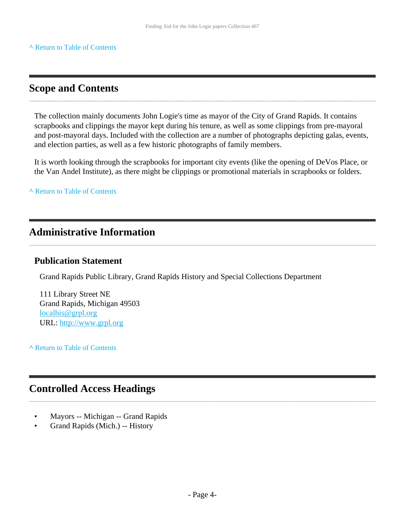# <span id="page-3-0"></span>**Scope and Contents**

The collection mainly documents John Logie's time as mayor of the City of Grand Rapids. It contains scrapbooks and clippings the mayor kept during his tenure, as well as some clippings from pre-mayoral and post-mayoral days. Included with the collection are a number of photographs depicting galas, events, and election parties, as well as a few historic photographs of family members.

It is worth looking through the scrapbooks for important city events (like the opening of DeVos Place, or the Van Andel Institute), as there might be clippings or promotional materials in scrapbooks or folders.

**^** [Return to Table of Contents](#page-1-0)

# <span id="page-3-1"></span>**Administrative Information**

#### **Publication Statement**

Grand Rapids Public Library, Grand Rapids History and Special Collections Department

111 Library Street NE Grand Rapids, Michigan 49503 [localhis@grpl.org](mailto:localhis@grpl.org) URL:<http://www.grpl.org>

**^** [Return to Table of Contents](#page-1-0)

# <span id="page-3-2"></span>**Controlled Access Headings**

- Mayors -- Michigan -- Grand Rapids
- Grand Rapids (Mich.) -- History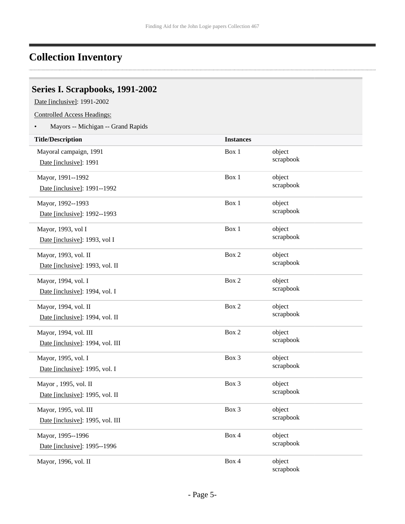### <span id="page-4-0"></span>**Collection Inventory**

### <span id="page-4-1"></span>**Series I. Scrapbooks, 1991-2002**

Date [inclusive]: 1991-2002

Controlled Access Headings:

• Mayors -- Michigan -- Grand Rapids

| <b>Title/Description</b>         | <b>Instances</b> |           |
|----------------------------------|------------------|-----------|
| Mayoral campaign, 1991           | Box 1            | object    |
| Date [inclusive]: 1991           |                  | scrapbook |
| Mayor, 1991--1992                | Box 1            | object    |
| Date [inclusive]: 1991--1992     |                  | scrapbook |
| Mayor, 1992--1993                | Box 1            | object    |
| Date [inclusive]: 1992--1993     |                  | scrapbook |
| Mayor, 1993, vol I               | Box 1            | object    |
| Date [inclusive]: 1993, vol I    |                  | scrapbook |
| Mayor, 1993, vol. II             | Box 2            | object    |
| Date [inclusive]: 1993, vol. II  |                  | scrapbook |
| Mayor, 1994, vol. I              | Box 2            | object    |
| Date [inclusive]: 1994, vol. I   |                  | scrapbook |
| Mayor, 1994, vol. II             | Box 2            | object    |
| Date [inclusive]: 1994, vol. II  |                  | scrapbook |
| Mayor, 1994, vol. III            | Box 2            | object    |
| Date [inclusive]: 1994, vol. III |                  | scrapbook |
| Mayor, 1995, vol. I              | $Box$ 3          | object    |
| Date [inclusive]: 1995, vol. I   |                  | scrapbook |
| Mayor, 1995, vol. II             | Box 3            | object    |
| Date [inclusive]: 1995, vol. II  |                  | scrapbook |
| Mayor, 1995, vol. III            | Box 3            | object    |
| Date [inclusive]: 1995, vol. III |                  | scrapbook |
| Mayor, 1995--1996                | Box 4            | object    |
| Date [inclusive]: 1995--1996     |                  | scrapbook |
| Mayor, 1996, vol. II             | Box 4            | object    |
|                                  |                  | scrapbook |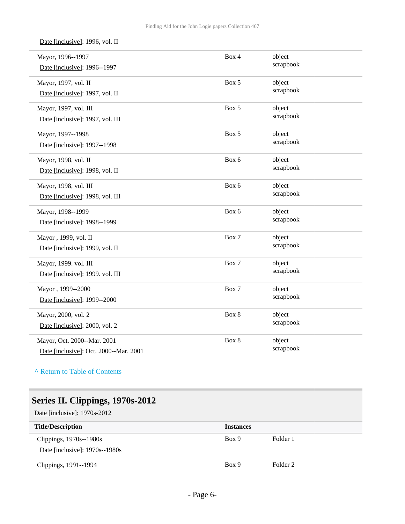Date [inclusive]: 1996, vol. II

| Mayor, 1996--1997<br>Date [inclusive]: 1996--1997                     | Box 4 | object<br>scrapbook |
|-----------------------------------------------------------------------|-------|---------------------|
| Mayor, 1997, vol. II<br>Date [inclusive]: 1997, vol. II               | Box 5 | object<br>scrapbook |
| Mayor, 1997, vol. III<br>Date [inclusive]: 1997, vol. III             | Box 5 | object<br>scrapbook |
| Mayor, 1997--1998<br>Date [inclusive]: 1997--1998                     | Box 5 | object<br>scrapbook |
| Mayor, 1998, vol. II<br>Date [inclusive]: 1998, vol. II               | Box 6 | object<br>scrapbook |
| Mayor, 1998, vol. III<br>Date [inclusive]: 1998, vol. III             | Box 6 | object<br>scrapbook |
| Mayor, 1998--1999<br>Date [inclusive]: 1998--1999                     | Box 6 | object<br>scrapbook |
| Mayor, 1999, vol. II<br>Date [inclusive]: 1999, vol. II               | Box 7 | object<br>scrapbook |
| Mayor, 1999. vol. III<br>Date [inclusive]: 1999. vol. III             | Box 7 | object<br>scrapbook |
| Mayor, 1999--2000<br>Date [inclusive]: 1999--2000                     | Box 7 | object<br>scrapbook |
| Mayor, 2000, vol. 2<br>Date [inclusive]: 2000, vol. 2                 | Box 8 | object<br>scrapbook |
| Mayor, Oct. 2000--Mar. 2001<br>Date [inclusive]: Oct. 2000--Mar. 2001 | Box 8 | object<br>scrapbook |

**^** [Return to Table of Contents](#page-1-0)

# <span id="page-5-0"></span>**Series II. Clippings, 1970s-2012**

Date [inclusive]: 1970s-2012

| <b>Title/Description</b>        | <b>Instances</b> |          |
|---------------------------------|------------------|----------|
| Clippings, 1970s--1980s         | Box 9            | Folder 1 |
| Date [inclusive]: $1970s-1980s$ |                  |          |
| Clippings, 1991--1994           | Box 9            | Folder 2 |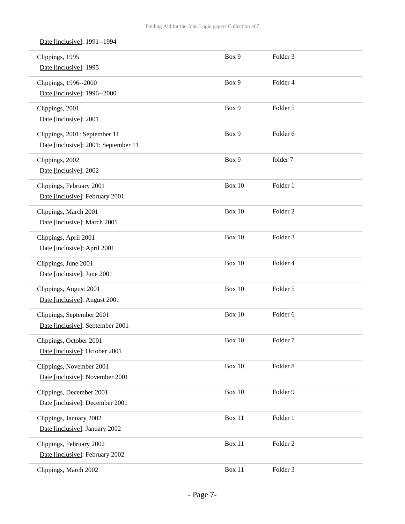Date [inclusive]: 1991--1994

| Clippings, 1995<br>Date [inclusive]: 1995                             | Box 9         | Folder <sub>3</sub> |
|-----------------------------------------------------------------------|---------------|---------------------|
| Clippings, 1996--2000<br>Date [inclusive]: 1996--2000                 | Box 9         | Folder 4            |
| Clippings, 2001<br>Date [inclusive]: 2001                             | Box 9         | Folder 5            |
| Clippings, 2001: September 11<br>Date [inclusive]: 2001: September 11 | Box 9         | Folder 6            |
| Clippings, 2002<br>Date [inclusive]: 2002                             | Box 9         | folder 7            |
| Clippings, February 2001<br>Date [inclusive]: February 2001           | Box 10        | Folder 1            |
| Clippings, March 2001<br>Date [inclusive]: March 2001                 | <b>Box 10</b> | Folder <sub>2</sub> |
| Clippings, April 2001<br>Date [inclusive]: April 2001                 | <b>Box 10</b> | Folder <sub>3</sub> |
| Clippings, June 2001<br>Date [inclusive]: June 2001                   | Box 10        | Folder 4            |
| Clippings, August 2001<br>Date [inclusive]: August 2001               | <b>Box 10</b> | Folder 5            |
| Clippings, September 2001<br>Date [inclusive]: September 2001         | Box 10        | Folder 6            |
| Clippings, October 2001<br>Date [inclusive]: October 2001             | Box 10        | Folder <sub>7</sub> |
| Clippings, November 2001<br>Date [inclusive]: November 2001           | <b>Box 10</b> | Folder 8            |
| Clippings, December 2001<br>Date [inclusive]: December 2001           | <b>Box 10</b> | Folder 9            |
| Clippings, January 2002<br>Date [inclusive]: January 2002             | Box 11        | Folder 1            |
| Clippings, February 2002<br>Date [inclusive]: February 2002           | Box 11        | Folder <sub>2</sub> |
| Clippings, March 2002                                                 | Box 11        | Folder 3            |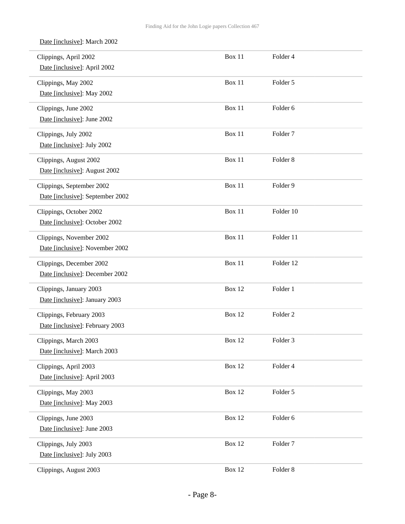| Date [inclusive]: March 2002                                  |               |                     |
|---------------------------------------------------------------|---------------|---------------------|
| Clippings, April 2002<br>Date [inclusive]: April 2002         | <b>Box 11</b> | Folder 4            |
| Clippings, May 2002<br>Date [inclusive]: May 2002             | Box 11        | Folder 5            |
| Clippings, June 2002<br>Date [inclusive]: June 2002           | Box 11        | Folder 6            |
| Clippings, July 2002<br>Date [inclusive]: July 2002           | Box 11        | Folder <sub>7</sub> |
| Clippings, August 2002<br>Date [inclusive]: August 2002       | <b>Box 11</b> | Folder <sub>8</sub> |
| Clippings, September 2002<br>Date [inclusive]: September 2002 | Box 11        | Folder 9            |
| Clippings, October 2002<br>Date [inclusive]: October 2002     | Box 11        | Folder 10           |
| Clippings, November 2002<br>Date [inclusive]: November 2002   | <b>Box 11</b> | Folder 11           |
| Clippings, December 2002<br>Date [inclusive]: December 2002   | <b>Box 11</b> | Folder 12           |
| Clippings, January 2003<br>Date [inclusive]: January 2003     | Box 12        | Folder 1            |
| Clippings, February 2003<br>Date [inclusive]: February 2003   | <b>Box 12</b> | Folder <sub>2</sub> |
| Clippings, March 2003<br>Date [inclusive]: March 2003         | <b>Box 12</b> | Folder 3            |
| Clippings, April 2003<br>Date [inclusive]: April 2003         | <b>Box 12</b> | Folder 4            |
| Clippings, May 2003<br>Date [inclusive]: May 2003             | <b>Box 12</b> | Folder 5            |
| Clippings, June 2003<br>Date [inclusive]: June 2003           | <b>Box 12</b> | Folder 6            |
| Clippings, July 2003<br>Date [inclusive]: July 2003           | <b>Box 12</b> | Folder <sub>7</sub> |
| Clippings, August 2003                                        | <b>Box 12</b> | Folder 8            |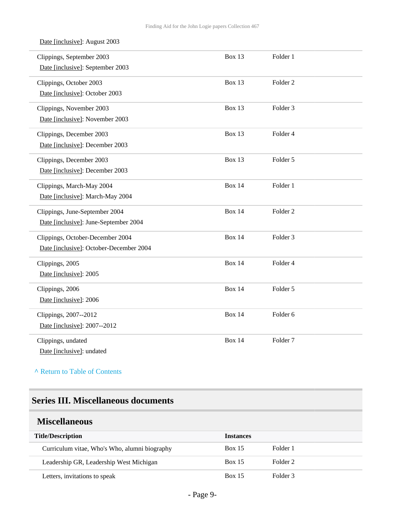| Date [inclusive]: August 2003           |               |                     |  |
|-----------------------------------------|---------------|---------------------|--|
| Clippings, September 2003               | <b>Box 13</b> | Folder 1            |  |
| Date [inclusive]: September 2003        |               |                     |  |
| Clippings, October 2003                 | <b>Box 13</b> | Folder <sub>2</sub> |  |
| Date [inclusive]: October 2003          |               |                     |  |
| Clippings, November 2003                | <b>Box 13</b> | Folder <sub>3</sub> |  |
| Date [inclusive]: November 2003         |               |                     |  |
| Clippings, December 2003                | <b>Box 13</b> | Folder 4            |  |
| Date [inclusive]: December 2003         |               |                     |  |
| Clippings, December 2003                | <b>Box 13</b> | Folder <sub>5</sub> |  |
| Date [inclusive]: December 2003         |               |                     |  |
| Clippings, March-May 2004               | <b>Box 14</b> | Folder 1            |  |
| Date [inclusive]: March-May 2004        |               |                     |  |
| Clippings, June-September 2004          | <b>Box 14</b> | Folder <sub>2</sub> |  |
| Date [inclusive]: June-September 2004   |               |                     |  |
| Clippings, October-December 2004        | <b>Box 14</b> | Folder <sub>3</sub> |  |
| Date [inclusive]: October-December 2004 |               |                     |  |
| Clippings, 2005                         | <b>Box 14</b> | Folder 4            |  |
| Date [inclusive]: 2005                  |               |                     |  |
| Clippings, 2006                         | <b>Box 14</b> | Folder 5            |  |
| Date [inclusive]: 2006                  |               |                     |  |
| Clippings, 2007--2012                   | <b>Box 14</b> | Folder 6            |  |
| Date [inclusive]: 2007--2012            |               |                     |  |
| Clippings, undated                      | <b>Box 14</b> | Folder <sub>7</sub> |  |
| Date [inclusive]: undated               |               |                     |  |

**^** [Return to Table of Contents](#page-1-0)

### <span id="page-8-0"></span>**Series III. Miscellaneous documents**

#### <span id="page-8-1"></span>**Miscellaneous**

| <b>Title/Description</b>                      | <b>Instances</b> |          |
|-----------------------------------------------|------------------|----------|
| Curriculum vitae, Who's Who, alumni biography | <b>Box 15</b>    | Folder 1 |
| Leadership GR, Leadership West Michigan       | <b>Box 15</b>    | Folder 2 |
| Letters, invitations to speak                 | <b>Box 15</b>    | Folder 3 |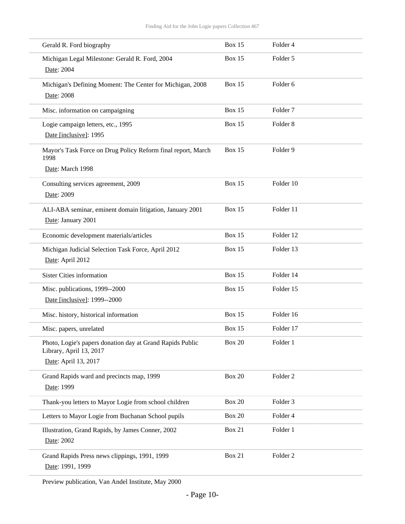| Gerald R. Ford biography                                                                                     | Box 15        | Folder 4            |
|--------------------------------------------------------------------------------------------------------------|---------------|---------------------|
| Michigan Legal Milestone: Gerald R. Ford, 2004<br>Date: 2004                                                 | Box 15        | Folder 5            |
| Michigan's Defining Moment: The Center for Michigan, 2008<br>Date: 2008                                      | <b>Box 15</b> | Folder 6            |
| Misc. information on campaigning                                                                             | <b>Box 15</b> | Folder <sub>7</sub> |
| Logie campaign letters, etc., 1995<br>Date [inclusive]: 1995                                                 | Box 15        | Folder <sub>8</sub> |
| Mayor's Task Force on Drug Policy Reform final report, March<br>1998<br>Date: March 1998                     | <b>Box 15</b> | Folder 9            |
| Consulting services agreement, 2009<br>Date: 2009                                                            | Box 15        | Folder 10           |
| ALI-ABA seminar, eminent domain litigation, January 2001<br>Date: January 2001                               | Box 15        | Folder 11           |
| Economic development materials/articles                                                                      | Box 15        | Folder 12           |
| Michigan Judicial Selection Task Force, April 2012<br>Date: April 2012                                       | Box 15        | Folder 13           |
| <b>Sister Cities information</b>                                                                             | Box 15        | Folder 14           |
| Misc. publications, 1999--2000<br>Date [inclusive]: 1999--2000                                               | Box 15        | Folder 15           |
| Misc. history, historical information                                                                        | Box 15        | Folder 16           |
| Misc. papers, unrelated                                                                                      | Box 15        | Folder 17           |
| Photo, Logie's papers donation day at Grand Rapids Public<br>Library, April 13, 2017<br>Date: April 13, 2017 | <b>Box 20</b> | Folder 1            |
| Grand Rapids ward and precincts map, 1999<br>Date: 1999                                                      | <b>Box 20</b> | Folder <sub>2</sub> |
| Thank-you letters to Mayor Logie from school children                                                        | <b>Box 20</b> | Folder 3            |
| Letters to Mayor Logie from Buchanan School pupils                                                           | <b>Box 20</b> | Folder 4            |
| Illustration, Grand Rapids, by James Conner, 2002<br>Date: 2002                                              | <b>Box 21</b> | Folder 1            |
| Grand Rapids Press news clippings, 1991, 1999<br>Date: 1991, 1999                                            | Box 21        | Folder <sub>2</sub> |

Preview publication, Van Andel Institute, May 2000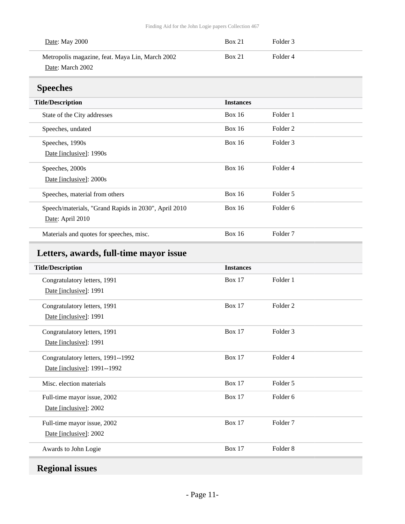| <b>Date:</b> May 2000                                               | <b>Box 21</b> | Folder 3 |  |
|---------------------------------------------------------------------|---------------|----------|--|
| Metropolis magazine, feat. Maya Lin, March 2002<br>Date: March 2002 | <b>Box 21</b> | Folder 4 |  |

## <span id="page-10-0"></span>**Speeches**

| д.                                                   |                  |                     |
|------------------------------------------------------|------------------|---------------------|
| <b>Title/Description</b>                             | <b>Instances</b> |                     |
| State of the City addresses                          | Box 16           | Folder 1            |
| Speeches, undated                                    | Box $16$         | Folder 2            |
| Speeches, 1990s                                      | Box 16           | Folder 3            |
| Date [inclusive]: 1990s                              |                  |                     |
| Speeches, 2000s                                      | Box $16$         | Folder 4            |
| Date [inclusive]: 2000s                              |                  |                     |
| Speeches, material from others                       | Box $16$         | Folder 5            |
| Speech/materials, "Grand Rapids in 2030", April 2010 | Box 16           | Folder 6            |
| Date: April 2010                                     |                  |                     |
| Materials and quotes for speeches, misc.             | Box $16$         | Folder <sub>7</sub> |

# <span id="page-10-1"></span>**Letters, awards, full-time mayor issue**

| <b>Title/Description</b>           | <b>Instances</b> |                     |
|------------------------------------|------------------|---------------------|
| Congratulatory letters, 1991       | <b>Box 17</b>    | Folder 1            |
| Date [inclusive]: 1991             |                  |                     |
| Congratulatory letters, 1991       | Box $17$         | Folder <sub>2</sub> |
| Date [inclusive]: 1991             |                  |                     |
| Congratulatory letters, 1991       | <b>Box 17</b>    | Folder 3            |
| Date [inclusive]: 1991             |                  |                     |
| Congratulatory letters, 1991--1992 | <b>Box 17</b>    | Folder 4            |
| Date [inclusive]: 1991--1992       |                  |                     |
| Misc. election materials           | <b>Box 17</b>    | Folder 5            |
| Full-time mayor issue, 2002        | <b>Box 17</b>    | Folder <sub>6</sub> |
| Date [inclusive]: 2002             |                  |                     |
| Full-time mayor issue, 2002        | <b>Box 17</b>    | Folder <sub>7</sub> |
| Date [inclusive]: 2002             |                  |                     |
| Awards to John Logie               | <b>Box 17</b>    | Folder <sub>8</sub> |

# <span id="page-10-2"></span>**Regional issues**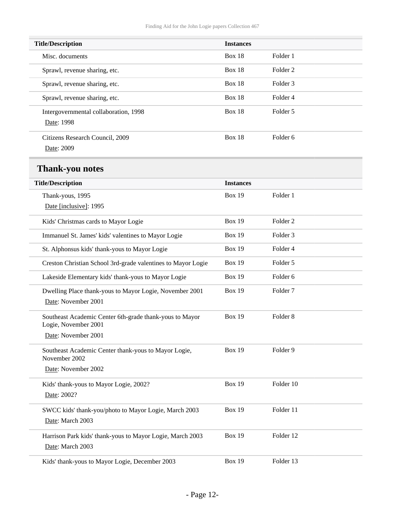<span id="page-11-0"></span>

| <b>Title/Description</b>                                                        | <b>Instances</b> |                     |  |  |
|---------------------------------------------------------------------------------|------------------|---------------------|--|--|
| Misc. documents                                                                 | <b>Box 18</b>    | Folder 1            |  |  |
| Sprawl, revenue sharing, etc.                                                   | <b>Box 18</b>    | Folder <sub>2</sub> |  |  |
| Sprawl, revenue sharing, etc.                                                   | <b>Box 18</b>    | Folder <sub>3</sub> |  |  |
| Sprawl, revenue sharing, etc.                                                   | <b>Box 18</b>    | Folder 4            |  |  |
| Intergovernmental collaboration, 1998<br>Date: 1998                             | <b>Box 18</b>    | Folder 5            |  |  |
| Citizens Research Council, 2009<br>Date: 2009                                   | <b>Box 18</b>    | Folder <sub>6</sub> |  |  |
| <b>Thank-you notes</b>                                                          |                  |                     |  |  |
| <b>Title/Description</b>                                                        | <b>Instances</b> |                     |  |  |
| Thank-yous, 1995<br>Date [inclusive]: 1995                                      | <b>Box 19</b>    | Folder 1            |  |  |
| Kids' Christmas cards to Mayor Logie                                            | <b>Box 19</b>    | Folder <sub>2</sub> |  |  |
| Immanuel St. James' kids' valentines to Mayor Logie                             | <b>Box 19</b>    | Folder 3            |  |  |
| St. Alphonsus kids' thank-yous to Mayor Logie                                   | <b>Box 19</b>    | Folder 4            |  |  |
| Creston Christian School 3rd-grade valentines to Mayor Logie                    | <b>Box 19</b>    | Folder 5            |  |  |
| Lakeside Elementary kids' thank-yous to Mayor Logie                             | <b>Box 19</b>    | Folder 6            |  |  |
| Dwelling Place thank-yous to Mayor Logie, November 2001<br>Date: November 2001  | <b>Box 19</b>    | Folder <sub>7</sub> |  |  |
| Southeast Academic Center 6th-grade thank-yous to Mayor<br>Logie, November 2001 | <b>Box 19</b>    | Folder <sub>8</sub> |  |  |
| Date: November 2001                                                             |                  |                     |  |  |
| Southeast Academic Center thank-yous to Mayor Logie,<br>November 2002           | <b>Box 19</b>    | Folder 9            |  |  |
| Date: November 2002                                                             |                  |                     |  |  |
| Kids' thank-yous to Mayor Logie, 2002?<br>Date: 2002?                           | <b>Box 19</b>    | Folder 10           |  |  |
| SWCC kids' thank-you/photo to Mayor Logie, March 2003<br>Date: March 2003       | <b>Box 19</b>    | Folder 11           |  |  |
| Harrison Park kids' thank-yous to Mayor Logie, March 2003<br>Date: March 2003   | <b>Box 19</b>    | Folder 12           |  |  |
| Kids' thank-yous to Mayor Logie, December 2003                                  | <b>Box 19</b>    | Folder 13           |  |  |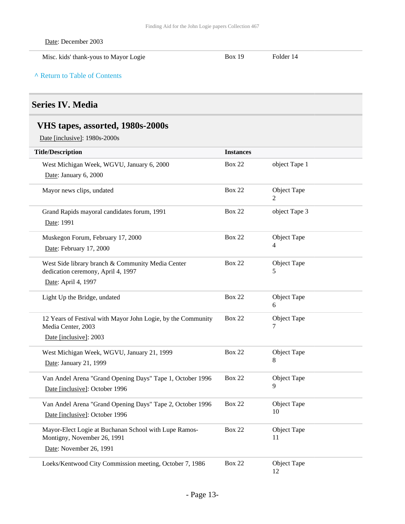Date: December 2003

Misc. kids' thank-yous to Mayor Logie Box 19 Folder 14

**^** [Return to Table of Contents](#page-1-0)

### <span id="page-12-0"></span>**Series IV. Media**

### <span id="page-12-1"></span>**VHS tapes, assorted, 1980s-2000s**

Date [inclusive]: 1980s-2000s

| <b>Title/Description</b>                                                                | <b>Instances</b> |                   |
|-----------------------------------------------------------------------------------------|------------------|-------------------|
| West Michigan Week, WGVU, January 6, 2000                                               | <b>Box 22</b>    | object Tape 1     |
| Date: January 6, 2000                                                                   |                  |                   |
| Mayor news clips, undated                                                               | <b>Box 22</b>    | Object Tape<br>2  |
| Grand Rapids mayoral candidates forum, 1991                                             | <b>Box 22</b>    | object Tape 3     |
| Date: 1991                                                                              |                  |                   |
| Muskegon Forum, February 17, 2000                                                       | <b>Box 22</b>    | Object Tape       |
| Date: February 17, 2000                                                                 |                  | 4                 |
| West Side library branch & Community Media Center<br>dedication ceremony, April 4, 1997 | <b>Box 22</b>    | Object Tape<br>5  |
| Date: April 4, 1997                                                                     |                  |                   |
| Light Up the Bridge, undated                                                            | <b>Box 22</b>    | Object Tape<br>6  |
| 12 Years of Festival with Mayor John Logie, by the Community<br>Media Center, 2003      | <b>Box 22</b>    | Object Tape<br>7  |
| Date [inclusive]: 2003                                                                  |                  |                   |
| West Michigan Week, WGVU, January 21, 1999                                              | <b>Box 22</b>    | Object Tape       |
| Date: January 21, 1999                                                                  |                  | 8                 |
| Van Andel Arena "Grand Opening Days" Tape 1, October 1996                               | <b>Box 22</b>    | Object Tape       |
| Date [inclusive]: October 1996                                                          |                  | 9                 |
| Van Andel Arena "Grand Opening Days" Tape 2, October 1996                               | <b>Box 22</b>    | Object Tape       |
| Date [inclusive]: October 1996                                                          |                  | 10                |
| Mayor-Elect Logie at Buchanan School with Lupe Ramos-<br>Montigny, November 26, 1991    | <b>Box 22</b>    | Object Tape<br>11 |
| Date: November 26, 1991                                                                 |                  |                   |
| Loeks/Kentwood City Commission meeting, October 7, 1986                                 | <b>Box 22</b>    | Object Tape<br>12 |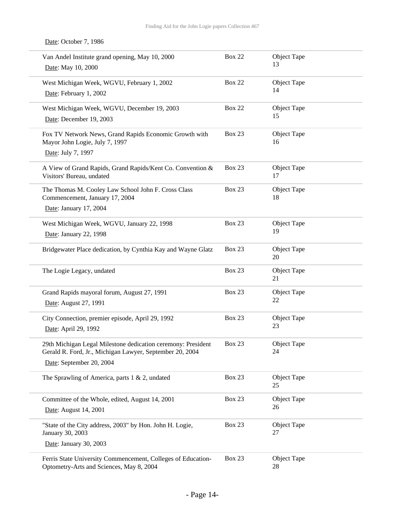| Van Andel Institute grand opening, May 10, 2000<br>Date: May 10, 2000                                                    | <b>Box 22</b> | Object Tape<br>13 |
|--------------------------------------------------------------------------------------------------------------------------|---------------|-------------------|
| West Michigan Week, WGVU, February 1, 2002<br>Date: February 1, 2002                                                     | <b>Box 22</b> | Object Tape<br>14 |
| West Michigan Week, WGVU, December 19, 2003<br>Date: December 19, 2003                                                   | <b>Box 22</b> | Object Tape<br>15 |
| Fox TV Network News, Grand Rapids Economic Growth with<br>Mayor John Logie, July 7, 1997                                 | <b>Box 23</b> | Object Tape<br>16 |
| Date: July 7, 1997                                                                                                       |               |                   |
| A View of Grand Rapids, Grand Rapids/Kent Co. Convention &<br>Visitors' Bureau, undated                                  | <b>Box 23</b> | Object Tape<br>17 |
| The Thomas M. Cooley Law School John F. Cross Class<br>Commencement, January 17, 2004                                    | <b>Box 23</b> | Object Tape<br>18 |
| Date: January 17, 2004                                                                                                   |               |                   |
| West Michigan Week, WGVU, January 22, 1998                                                                               | <b>Box 23</b> | Object Tape       |
| Date: January 22, 1998                                                                                                   |               | 19                |
| Bridgewater Place dedication, by Cynthia Kay and Wayne Glatz                                                             | <b>Box 23</b> | Object Tape<br>20 |
| The Logie Legacy, undated                                                                                                | <b>Box 23</b> | Object Tape<br>21 |
| Grand Rapids mayoral forum, August 27, 1991                                                                              | <b>Box 23</b> | Object Tape       |
| Date: August 27, 1991                                                                                                    |               | 22                |
| City Connection, premier episode, April 29, 1992<br>Date: April 29, 1992                                                 | <b>Box 23</b> | Object Tape<br>23 |
| 29th Michigan Legal Milestone dedication ceremony: President<br>Gerald R. Ford, Jr., Michigan Lawyer, September 20, 2004 | <b>Box 23</b> | Object Tape<br>24 |
| Date: September 20, 2004                                                                                                 |               |                   |
| The Sprawling of America, parts $1 < 2$ , undated                                                                        | Box 23        | Object Tape<br>25 |
| Committee of the Whole, edited, August 14, 2001                                                                          | <b>Box 23</b> | Object Tape       |
| Date: August 14, 2001                                                                                                    |               | 26                |
| "State of the City address, 2003" by Hon. John H. Logie,<br>January 30, 2003                                             | <b>Box 23</b> | Object Tape<br>27 |
| Date: January 30, 2003                                                                                                   |               |                   |
| Ferris State University Commencement, Colleges of Education-<br>Optometry-Arts and Sciences, May 8, 2004                 | <b>Box 23</b> | Object Tape<br>28 |

#### Date: October 7, 1986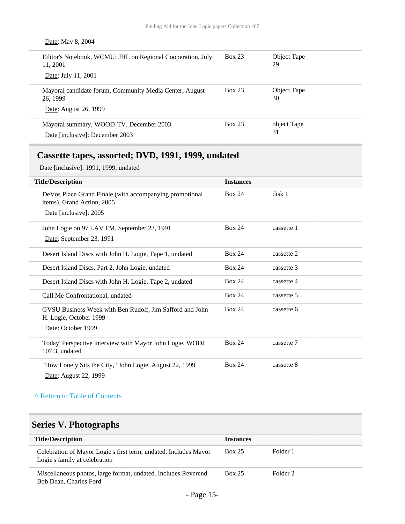| Date: May 8, 2004                                                      |               |                   |
|------------------------------------------------------------------------|---------------|-------------------|
| Editor's Notebook, WCMU: JHL on Regional Cooperation, July<br>11, 2001 | <b>Box 23</b> | Object Tape<br>29 |
| Date: July 11, 2001                                                    |               |                   |
| Mayoral candidate forum, Community Media Center, August<br>26, 1999    | <b>Box 23</b> | Object Tape<br>30 |
| Date: August 26, 1999                                                  |               |                   |
| Mayoral summary, WOOD-TV, December 2003                                | <b>Box 23</b> | object Tape       |
| Date [inclusive]: December 2003                                        |               | 31                |

### <span id="page-14-0"></span>**Cassette tapes, assorted; DVD, 1991, 1999, undated**

Date [inclusive]: 1991, 1999, undated

| <b>Title/Description</b>                                                              | <b>Instances</b> |            |
|---------------------------------------------------------------------------------------|------------------|------------|
| DeVos Place Grand Finale (with accompanying promotional<br>items), Grand Action, 2005 | <b>Box 24</b>    | disk 1     |
| Date [inclusive]: 2005                                                                |                  |            |
| John Logie on 97 LAV FM, September 23, 1991                                           | <b>Box 24</b>    | cassette 1 |
| Date: September 23, 1991                                                              |                  |            |
| Desert Island Discs with John H. Logie, Tape 1, undated                               | <b>Box 24</b>    | cassette 2 |
| Desert Island Discs, Part 2, John Logie, undated                                      | <b>Box 24</b>    | cassette 3 |
| Desert Island Discs with John H. Logie, Tape 2, undated                               | <b>Box 24</b>    | cassette 4 |
| Call Me Confrontational, undated                                                      | <b>Box 24</b>    | cassette 5 |
| GVSU Business Week with Ben Rudolf, Jim Safford and John<br>H. Logie, October 1999    | <b>Box 24</b>    | cassette 6 |
| Date: October 1999                                                                    |                  |            |
| Today' Perspective interview with Mayor John Logie, WODJ<br>107.3, undated            | <b>Box 24</b>    | cassette 7 |
| "How Lonely Sits the City," John Logie, August 22, 1999<br>Date: August 22, 1999      | <b>Box 24</b>    | cassette 8 |

#### **^** [Return to Table of Contents](#page-1-0)

# <span id="page-14-1"></span>**Series V. Photographs**

| <b>Title/Description</b>                                                                          | <b>Instances</b> |          |
|---------------------------------------------------------------------------------------------------|------------------|----------|
| Celebration of Mayor Logie's first term, undated. Includes Mayor<br>Logie's family at celebration | <b>Box 25</b>    | Folder 1 |
| Miscellaneous photos, large format, undated. Includes Reverend<br>Bob Dean, Charles Ford          | <b>Box 25</b>    | Folder 2 |